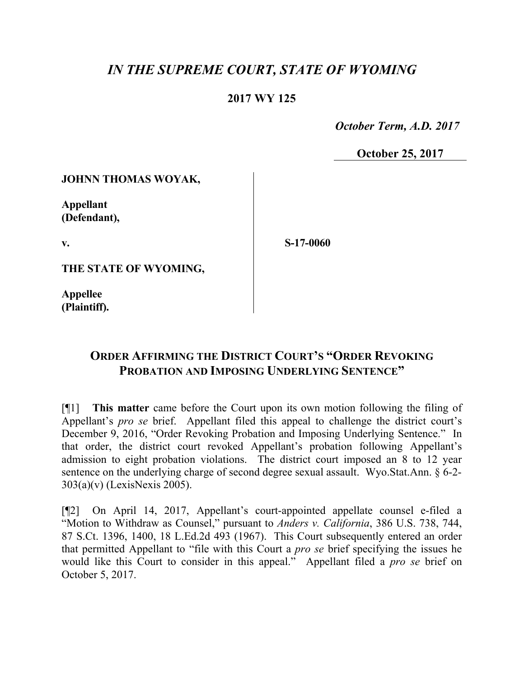# *IN THE SUPREME COURT, STATE OF WYOMING*

## **2017 WY 125**

 *October Term, A.D. 2017*

**October 25, 2017**

#### **JOHNN THOMAS WOYAK,**

**Appellant (Defendant),**

**v.**

**S-17-0060**

**THE STATE OF WYOMING,**

**Appellee (Plaintiff).**

# **ORDER AFFIRMING THE DISTRICT COURT'S "ORDER REVOKING PROBATION AND IMPOSING UNDERLYING SENTENCE"**

[¶1] **This matter** came before the Court upon its own motion following the filing of Appellant's *pro se* brief. Appellant filed this appeal to challenge the district court's December 9, 2016, "Order Revoking Probation and Imposing Underlying Sentence." In that order, the district court revoked Appellant's probation following Appellant's admission to eight probation violations. The district court imposed an 8 to 12 year sentence on the underlying charge of second degree sexual assault. Wyo.Stat.Ann. § 6-2- 303(a)(v) (LexisNexis 2005).

[¶2] On April 14, 2017, Appellant's court-appointed appellate counsel e-filed a "Motion to Withdraw as Counsel," pursuant to *Anders v. California*, 386 U.S. 738, 744, 87 S.Ct. 1396, 1400, 18 L.Ed.2d 493 (1967). This Court subsequently entered an order that permitted Appellant to "file with this Court a *pro se* brief specifying the issues he would like this Court to consider in this appeal." Appellant filed a *pro se* brief on October 5, 2017.